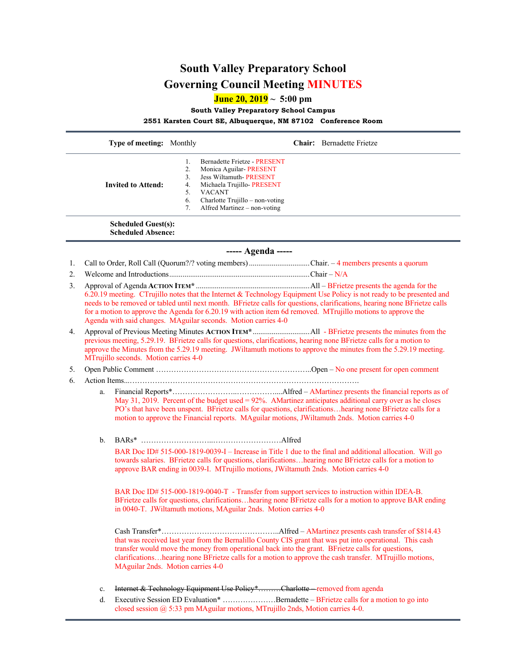## **South Valley Preparatory School Governing Council Meeting MINUTES**

**June 20, 2019 ~ 5:00 pm**

**South Valley Preparatory School Campus**

**2551 Karsten Court SE, Albuquerque, NM 87102 Conference Room**

|                                                         |                                                                                                                                                                                                                                                                                                                                                                                                                                      | Type of meeting: Monthly          |                                        | Chair: Bernadette Frietze                                                                                                                                                                                                                                                                                                 |
|---------------------------------------------------------|--------------------------------------------------------------------------------------------------------------------------------------------------------------------------------------------------------------------------------------------------------------------------------------------------------------------------------------------------------------------------------------------------------------------------------------|-----------------------------------|----------------------------------------|---------------------------------------------------------------------------------------------------------------------------------------------------------------------------------------------------------------------------------------------------------------------------------------------------------------------------|
|                                                         |                                                                                                                                                                                                                                                                                                                                                                                                                                      | <b>Invited to Attend:</b>         | 1.<br>2.<br>3.<br>4.<br>5.<br>6.<br>7. | Bernadette Frietze - PRESENT<br>Monica Aguilar-PRESENT<br>Jess Wiltamuth-PRESENT<br>Michaela Trujillo-PRESENT<br><b>VACANT</b><br>Charlotte Trujillo - non-voting<br>Alfred Martinez - non-voting                                                                                                                         |
| <b>Scheduled Guest(s):</b><br><b>Scheduled Absence:</b> |                                                                                                                                                                                                                                                                                                                                                                                                                                      |                                   |                                        |                                                                                                                                                                                                                                                                                                                           |
| ----- Agenda -----                                      |                                                                                                                                                                                                                                                                                                                                                                                                                                      |                                   |                                        |                                                                                                                                                                                                                                                                                                                           |
| 1.                                                      |                                                                                                                                                                                                                                                                                                                                                                                                                                      |                                   |                                        | Call to Order, Roll Call (Quorum?/? voting members) Chair. -4 members presents a quorum                                                                                                                                                                                                                                   |
| 2.                                                      |                                                                                                                                                                                                                                                                                                                                                                                                                                      |                                   |                                        |                                                                                                                                                                                                                                                                                                                           |
| 3.                                                      | 6.20.19 meeting. CTrujillo notes that the Internet & Technology Equipment Use Policy is not ready to be presented and<br>needs to be removed or tabled until next month. BFrietze calls for questions, clarifications, hearing none BFrietze calls<br>for a motion to approve the Agenda for 6.20.19 with action item 6d removed. MTrujillo motions to approve the<br>Agenda with said changes. MAguilar seconds. Motion carries 4-0 |                                   |                                        |                                                                                                                                                                                                                                                                                                                           |
| 4.                                                      | previous meeting, 5.29.19. BFrietze calls for questions, clarifications, hearing none BFrietze calls for a motion to<br>approve the Minutes from the 5.29.19 meeting. JWiltamuth motions to approve the minutes from the 5.29.19 meeting.<br>MTrujillo seconds. Motion carries 4-0                                                                                                                                                   |                                   |                                        |                                                                                                                                                                                                                                                                                                                           |
| 5.                                                      |                                                                                                                                                                                                                                                                                                                                                                                                                                      |                                   |                                        |                                                                                                                                                                                                                                                                                                                           |
| 6.                                                      |                                                                                                                                                                                                                                                                                                                                                                                                                                      |                                   |                                        |                                                                                                                                                                                                                                                                                                                           |
|                                                         | a.                                                                                                                                                                                                                                                                                                                                                                                                                                   |                                   |                                        | May 31, 2019. Percent of the budget used = 92%. AMartinez anticipates additional carry over as he closes<br>PO's that have been unspent. BFrietze calls for questions, clarificationshearing none BFrietze calls for a<br>motion to approve the Financial reports. MAguilar motions, JWiltamuth 2nds. Motion carries 4-0  |
|                                                         | $\mathbf{b}$ .                                                                                                                                                                                                                                                                                                                                                                                                                       |                                   |                                        |                                                                                                                                                                                                                                                                                                                           |
|                                                         |                                                                                                                                                                                                                                                                                                                                                                                                                                      |                                   |                                        | BAR Doc ID# 515-000-1819-0039-I – Increase in Title 1 due to the final and additional allocation. Will go<br>towards salaries. BFrietze calls for questions, clarificationshearing none BFrietze calls for a motion to<br>approve BAR ending in 0039-I. MTrujillo motions, JWiltamuth 2nds. Motion carries 4-0            |
|                                                         |                                                                                                                                                                                                                                                                                                                                                                                                                                      |                                   |                                        | BAR Doc ID# 515-000-1819-0040-T - Transfer from support services to instruction within IDEA-B.<br>BFrietze calls for questions, clarificationshearing none BFrietze calls for a motion to approve BAR ending<br>in 0040-T. JWiltamuth motions, MAguilar 2nds. Motion carries 4-0                                          |
|                                                         |                                                                                                                                                                                                                                                                                                                                                                                                                                      | MAguilar 2nds. Motion carries 4-0 |                                        | that was received last year from the Bernalillo County CIS grant that was put into operational. This cash<br>transfer would move the money from operational back into the grant. BFrietze calls for questions,<br>clarificationshearing none BFrietze calls for a motion to approve the cash transfer. MTrujillo motions, |
|                                                         |                                                                                                                                                                                                                                                                                                                                                                                                                                      |                                   |                                        |                                                                                                                                                                                                                                                                                                                           |
|                                                         | $\mathbf{c}.$<br>d.                                                                                                                                                                                                                                                                                                                                                                                                                  |                                   |                                        | Internet & Technology Equipment Use Policy*Charlotte—removed from agenda<br>Executive Session ED Evaluation* Bernadette - BFrietze calls for a motion to go into                                                                                                                                                          |
|                                                         |                                                                                                                                                                                                                                                                                                                                                                                                                                      |                                   |                                        |                                                                                                                                                                                                                                                                                                                           |

closed session @ 5:33 pm MAguilar motions, MTrujillo 2nds, Motion carries 4-0.